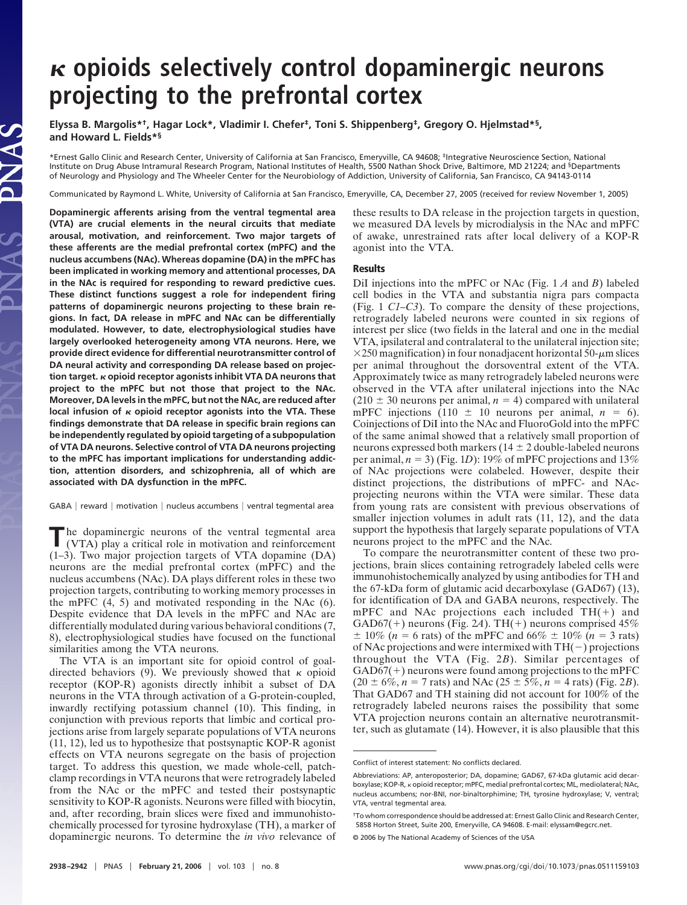# **opioids selectively control dopaminergic neurons projecting to the prefrontal cortex**

**Elyssa B. Margolis\*†, Hagar Lock\*, Vladimir I. Chefer‡, Toni S. Shippenberg‡, Gregory O. Hjelmstad\*§, and Howard L. Fields\*§**

\*Ernest Gallo Clinic and Research Center, University of California at San Francisco, Emeryville, CA 94608; ‡Integrative Neuroscience Section, National Institute on Drug Abuse Intramural Research Program, National Institutes of Health, 5500 Nathan Shock Drive, Baltimore, MD 21224; and §Departments of Neurology and Physiology and The Wheeler Center for the Neurobiology of Addiction, University of California, San Francisco, CA 94143-0114

Communicated by Raymond L. White, University of California at San Francisco, Emeryville, CA, December 27, 2005 (received for review November 1, 2005)

**Dopaminergic afferents arising from the ventral tegmental area (VTA) are crucial elements in the neural circuits that mediate arousal, motivation, and reinforcement. Two major targets of these afferents are the medial prefrontal cortex (mPFC) and the nucleus accumbens (NAc). Whereas dopamine (DA) in the mPFC has been implicated in working memory and attentional processes, DA in the NAc is required for responding to reward predictive cues. These distinct functions suggest a role for independent firing patterns of dopaminergic neurons projecting to these brain regions. In fact, DA release in mPFC and NAc can be differentially modulated. However, to date, electrophysiological studies have largely overlooked heterogeneity among VTA neurons. Here, we provide direct evidence for differential neurotransmitter control of DA neural activity and corresponding DA release based on projection target. opioid receptor agonists inhibit VTA DA neurons that project to the mPFC but not those that project to the NAc. Moreover, DA levels in the mPFC, but not the NAc, are reduced after local infusion of opioid receptor agonists into the VTA. These findings demonstrate that DA release in specific brain regions can be independently regulated by opioid targeting of a subpopulation of VTA DA neurons. Selective control of VTA DA neurons projecting to the mPFC has important implications for understanding addiction, attention disorders, and schizophrenia, all of which are associated with DA dysfunction in the mPFC.**

LAS

GABA | reward | motivation | nucleus accumbens | ventral tegmental area

**The dopaminergic neurons of the ventral tegmental area** (VTA) play a critical relation of the contract of the state of the state of the state of the state of the state of the state of the state of the state of the state o (VTA) play a critical role in motivation and reinforcement (1–3). Two major projection targets of VTA dopamine (DA) neurons are the medial prefrontal cortex (mPFC) and the nucleus accumbens (NAc). DA plays different roles in these two projection targets, contributing to working memory processes in the mPFC (4, 5) and motivated responding in the NAc (6). Despite evidence that DA levels in the mPFC and NAc are differentially modulated during various behavioral conditions (7, 8), electrophysiological studies have focused on the functional similarities among the VTA neurons.

The VTA is an important site for opioid control of goaldirected behaviors (9). We previously showed that  $\kappa$  opioid receptor (KOP-R) agonists directly inhibit a subset of DA neurons in the VTA through activation of a G-protein-coupled, inwardly rectifying potassium channel (10). This finding, in conjunction with previous reports that limbic and cortical projections arise from largely separate populations of VTA neurons (11, 12), led us to hypothesize that postsynaptic KOP-R agonist effects on VTA neurons segregate on the basis of projection target. To address this question, we made whole-cell, patchclamp recordings in VTA neurons that were retrogradely labeled from the NAc or the mPFC and tested their postsynaptic sensitivity to KOP-R agonists. Neurons were filled with biocytin, and, after recording, brain slices were fixed and immunohistochemically processed for tyrosine hydroxylase (TH), a marker of dopaminergic neurons. To determine the *in vivo* relevance of these results to DA release in the projection targets in question, we measured DA levels by microdialysis in the NAc and mPFC of awake, unrestrained rats after local delivery of a KOP-R agonist into the VTA.

### **Results**

DiI injections into the mPFC or NAc (Fig. 1 *A* and *B*) labeled cell bodies in the VTA and substantia nigra pars compacta (Fig. 1 *C1–C3*). To compare the density of these projections, retrogradely labeled neurons were counted in six regions of interest per slice (two fields in the lateral and one in the medial VTA, ipsilateral and contralateral to the unilateral injection site;  $\times$ 250 magnification) in four nonadjacent horizontal 50- $\mu$ m slices per animal throughout the dorsoventral extent of the VTA. Approximately twice as many retrogradely labeled neurons were observed in the VTA after unilateral injections into the NAc  $(210 \pm 30$  neurons per animal,  $n = 4$ ) compared with unilateral mPFC injections  $(110 \pm 10$  neurons per animal,  $n = 6$ ). Coinjections of DiI into the NAc and FluoroGold into the mPFC of the same animal showed that a relatively small proportion of neurons expressed both markers ( $14 \pm 2$  double-labeled neurons per animal,  $n = 3$ ) (Fig. 1*D*): 19% of mPFC projections and 13% of NAc projections were colabeled. However, despite their distinct projections, the distributions of mPFC- and NAcprojecting neurons within the VTA were similar. These data from young rats are consistent with previous observations of smaller injection volumes in adult rats  $(11, 12)$ , and the data support the hypothesis that largely separate populations of VTA neurons project to the mPFC and the NAc.

To compare the neurotransmitter content of these two projections, brain slices containing retrogradely labeled cells were immunohistochemically analyzed by using antibodies for TH and the 67-kDa form of glutamic acid decarboxylase (GAD67) (13), for identification of DA and GABA neurons, respectively. The mPFC and NAc projections each included  $TH(+)$  and GAD67(+) neurons (Fig. 2*A*). TH(+) neurons comprised  $45\%$  $\pm$  10% (*n* = 6 rats) of the mPFC and 66%  $\pm$  10% (*n* = 3 rats) of NAc projections and were intermixed with  $TH(-)$  projections throughout the VTA (Fig. 2*B*). Similar percentages of  $GAD67(+)$  neurons were found among projections to the mPFC  $(20 \pm 6\%, n = 7 \text{ rats})$  and NAc  $(25 \pm 5\%, n = 4 \text{ rats})$  (Fig. 2*B*). That GAD67 and TH staining did not account for 100% of the retrogradely labeled neurons raises the possibility that some VTA projection neurons contain an alternative neurotransmitter, such as glutamate (14). However, it is also plausible that this

© 2006 by The National Academy of Sciences of the USA

Conflict of interest statement: No conflicts declared.

Abbreviations: AP, anteroposterior; DA, dopamine; GAD67, 67-kDa glutamic acid decarboxylase; KOP-R, *k* opioid receptor; mPFC, medial prefrontal cortex; ML, mediolateral; NAc, nucleus accumbens; nor-BNI, nor-binaltorphimine; TH, tyrosine hydroxylase; V, ventral; VTA, ventral tegmental area.

<sup>†</sup>To whom correspondence should be addressed at: Ernest Gallo Clinic and Research Center, 5858 Horton Street, Suite 200, Emeryville, CA 94608. E-mail: elyssam@egcrc.net.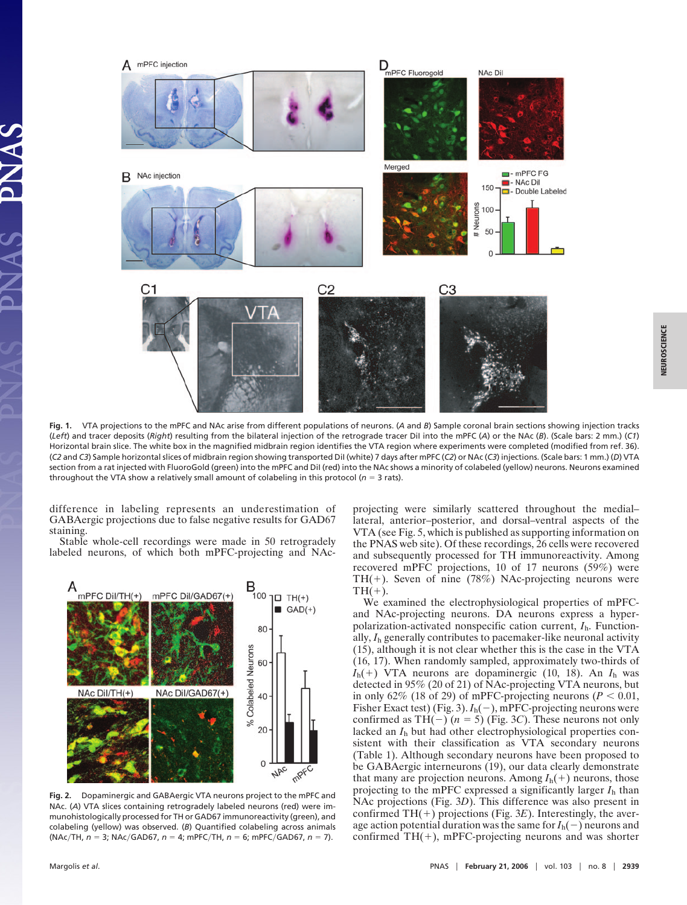

**Fig. 1.** VTA projections to the mPFC and NAc arise from different populations of neurons. (*A* and *B*) Sample coronal brain sections showing injection tracks (*Left*) and tracer deposits (*Right*) resulting from the bilateral injection of the retrograde tracer DiI into the mPFC (*A*) or the NAc (*B*). (Scale bars: 2 mm.) (*C1*) Horizontal brain slice. The white box in the magnified midbrain region identifies the VTA region where experiments were completed (modified from ref. 36). (*C2* and *C3*) Sample horizontal slices of midbrain region showing transported DiI (white) 7 days after mPFC (*C2*) or NAc (*C3*) injections. (Scale bars: 1 mm.) (*D*) VTA section from a rat injected with FluoroGold (green) into the mPFC and Dil (red) into the NAc shows a minority of colabeled (yellow) neurons. Neurons examined throughout the VTA show a relatively small amount of colabeling in this protocol ( $n = 3$  rats).

difference in labeling represents an underestimation of GABAergic projections due to false negative results for GAD67 staining.

Stable whole-cell recordings were made in 50 retrogradely labeled neurons, of which both mPFC-projecting and NAc-



**Fig. 2.** Dopaminergic and GABAergic VTA neurons project to the mPFC and NAc. (*A*) VTA slices containing retrogradely labeled neurons (red) were immunohistologically processed for TH or GAD67 immunoreactivity (green), and colabeling (yellow) was observed. (*B*) Quantified colabeling across animals (NAc/TH, *n* = 3; NAc/GAD67, *n* = 4; mPFC/TH, *n* = 6; mPFC/GAD67, *n* = 7).

projecting were similarly scattered throughout the medial– lateral, anterior–posterior, and dorsal–ventral aspects of the VTA (see Fig. 5, which is published as supporting information on the PNAS web site). Of these recordings, 26 cells were recovered and subsequently processed for TH immunoreactivity. Among recovered mPFC projections, 10 of 17 neurons (59%) were TH(+). Seven of nine (78%) NAc-projecting neurons were  $TH(+).$ 

We examined the electrophysiological properties of mPFCand NAc-projecting neurons. DA neurons express a hyperpolarization-activated nonspecific cation current, *I*h. Functionally, *I*<sup>h</sup> generally contributes to pacemaker-like neuronal activity (15), although it is not clear whether this is the case in the VTA (16, 17). When randomly sampled, approximately two-thirds of *I*h() VTA neurons are dopaminergic (10, 18). An *I*<sup>h</sup> was detected in 95% (20 of 21) of NAc-projecting VTA neurons, but in only 62% (18 of 29) of mPFC-projecting neurons ( $P < 0.01$ , Fisher Exact test) (Fig. 3).  $I_h(-)$ , mPFC-projecting neurons were confirmed as TH( $-$ ) ( $n = 5$ ) (Fig. 3*C*). These neurons not only lacked an *I*<sup>h</sup> but had other electrophysiological properties consistent with their classification as VTA secondary neurons (Table 1). Although secondary neurons have been proposed to be GABAergic interneurons (19), our data clearly demonstrate that many are projection neurons. Among  $I_h(+)$  neurons, those projecting to the mPFC expressed a significantly larger *I*<sup>h</sup> than NAc projections (Fig. 3*D*). This difference was also present in confirmed  $TH(+)$  projections (Fig. 3*E*). Interestingly, the average action potential duration was the same for  $I_h(-)$  neurons and confirmed  $TH(+)$ , mPFC-projecting neurons and was shorter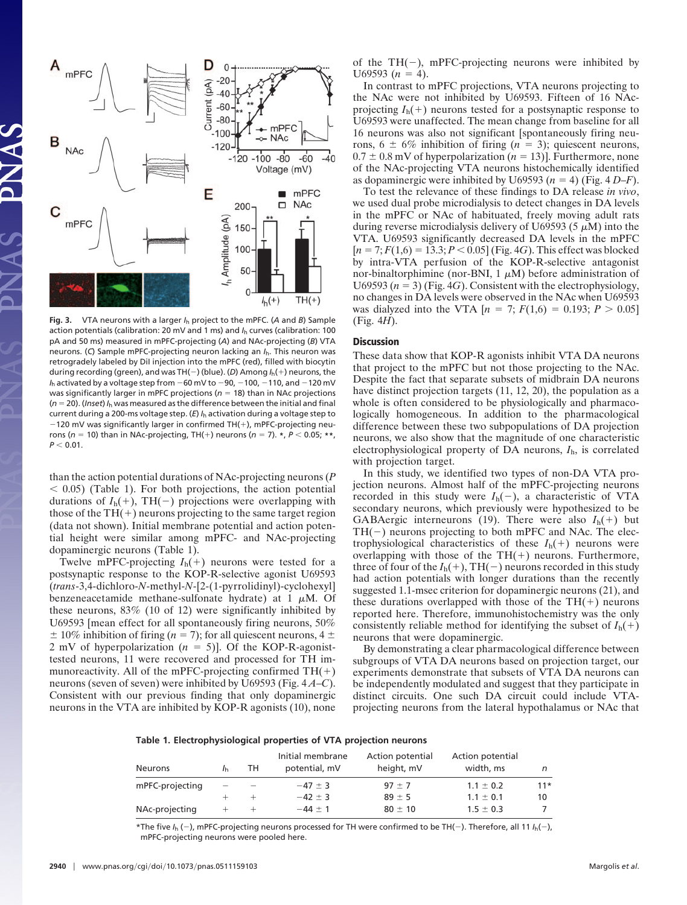

**Fig. 3.** VTA neurons with a larger *I*<sup>h</sup> project to the mPFC. (*A* and *B*) Sample action potentials (calibration: 20 mV and 1 ms) and *I*<sup>h</sup> curves (calibration: 100 pA and 50 ms) measured in mPFC-projecting (*A*) and NAc-projecting (*B*) VTA neurons. (*C*) Sample mPFC-projecting neuron lacking an *I*h. This neuron was retrogradely labeled by DiI injection into the mPFC (red), filled with biocytin during recording (green), and was TH(-) (blue). (*D*) Among *I*<sub>h</sub>(+) neurons, the  $I_h$  activated by a voltage step from  $-60$  mV to  $-90$ ,  $-100$ ,  $-110$ , and  $-120$  mV was significantly larger in mPFC projections ( $n = 18$ ) than in NAc projections (*n* 20). (*Inset*) *I*<sup>h</sup> was measured as the difference between the initial and final current during a 200-ms voltage step. (*E*) *I*<sup>h</sup> activation during a voltage step to  $-120$  mV was significantly larger in confirmed TH(+), mPFC-projecting neurons ( $n = 10$ ) than in NAc-projecting, TH(+) neurons ( $n = 7$ ).  $*$ ,  $P < 0.05$ ;  $**$ ,  $P < 0.01$ .

than the action potential durations of NAc-projecting neurons (*P*  $< 0.05$ ) (Table 1). For both projections, the action potential durations of  $I_h(+)$ , TH(-) projections were overlapping with those of the  $TH(+)$  neurons projecting to the same target region (data not shown). Initial membrane potential and action potential height were similar among mPFC- and NAc-projecting dopaminergic neurons (Table 1).

Twelve mPFC-projecting  $I_h(+)$  neurons were tested for a postsynaptic response to the KOP-R-selective agonist U69593 (*trans*-3,4-dichloro-*N*-methyl-*N*-[2-(1-pyrrolidinyl)-cyclohexyl] benzeneacetamide methane-sulfonate hydrate) at 1  $\mu$ M. Of these neurons, 83% (10 of 12) were significantly inhibited by U69593 [mean effect for all spontaneously firing neurons, 50%  $\pm$  10% inhibition of firing (*n* = 7); for all quiescent neurons, 4  $\pm$ 2 mV of hyperpolarization  $(n = 5)$ ]. Of the KOP-R-agonisttested neurons, 11 were recovered and processed for TH immunoreactivity. All of the mPFC-projecting confirmed  $TH(+)$ neurons (seven of seven) were inhibited by U69593 (Fig. 4 *A*–*C*). Consistent with our previous finding that only dopaminergic neurons in the VTA are inhibited by KOP-R agonists (10), none of the  $TH(-)$ , mPFC-projecting neurons were inhibited by  $U69593 (n = 4)$ .

In contrast to mPFC projections, VTA neurons projecting to the NAc were not inhibited by U69593. Fifteen of 16 NAcprojecting  $I_h(+)$  neurons tested for a postsynaptic response to U69593 were unaffected. The mean change from baseline for all 16 neurons was also not significant [spontaneously firing neurons,  $6 \pm 6\%$  inhibition of firing  $(n = 3)$ ; quiescent neurons,  $0.7 \pm 0.8$  mV of hyperpolarization ( $n = 13$ )]. Furthermore, none of the NAc-projecting VTA neurons histochemically identified as dopaminergic were inhibited by U69593 ( $n = 4$ ) (Fig. 4 *D–F*).

To test the relevance of these findings to DA release *in vivo*, we used dual probe microdialysis to detect changes in DA levels in the mPFC or NAc of habituated, freely moving adult rats during reverse microdialysis delivery of U69593 (5  $\mu$ M) into the VTA. U69593 significantly decreased DA levels in the mPFC  $[n = 7; F(1,6) = 13.3; P < 0.05$  (Fig. 4*G*). This effect was blocked by intra-VTA perfusion of the KOP-R-selective antagonist nor-binaltorphimine (nor-BNI,  $1 \mu$ M) before administration of U69593 ( $n = 3$ ) (Fig. 4*G*). Consistent with the electrophysiology, no changes in DA levels were observed in the NAc when U69593 was dialyzed into the VTA  $[n = 7; F(1,6) = 0.193; P > 0.05]$ (Fig. 4*H*).

## **Discussion**

These data show that KOP-R agonists inhibit VTA DA neurons that project to the mPFC but not those projecting to the NAc. Despite the fact that separate subsets of midbrain DA neurons have distinct projection targets (11, 12, 20), the population as a whole is often considered to be physiologically and pharmacologically homogeneous. In addition to the pharmacological difference between these two subpopulations of DA projection neurons, we also show that the magnitude of one characteristic electrophysiological property of DA neurons, *I*h, is correlated with projection target.

In this study, we identified two types of non-DA VTA projection neurons. Almost half of the mPFC-projecting neurons recorded in this study were  $I_h(-)$ , a characteristic of VTA secondary neurons, which previously were hypothesized to be GABAergic interneurons (19). There were also  $I_h(+)$  but  $TH(-)$  neurons projecting to both mPFC and NAc. The electrophysiological characteristics of these  $I_h(+)$  neurons were overlapping with those of the  $TH(+)$  neurons. Furthermore, three of four of the  $I_h(+)$ , TH(-) neurons recorded in this study had action potentials with longer durations than the recently suggested 1.1-msec criterion for dopaminergic neurons (21), and these durations overlapped with those of the  $TH(+)$  neurons reported here. Therefore, immunohistochemistry was the only consistently reliable method for identifying the subset of  $I_h(+)$ neurons that were dopaminergic.

By demonstrating a clear pharmacological difference between subgroups of VTA DA neurons based on projection target, our experiments demonstrate that subsets of VTA DA neurons can be independently modulated and suggest that they participate in distinct circuits. One such DA circuit could include VTAprojecting neurons from the lateral hypothalamus or NAc that

## **Table 1. Electrophysiological properties of VTA projection neurons**

| <b>Neurons</b>  | TH | Initial membrane<br>potential, mV | Action potential<br>height, mV | Action potential<br>width, ms |       |
|-----------------|----|-----------------------------------|--------------------------------|-------------------------------|-------|
| mPFC-projecting |    | $-47 \pm 3$                       | $97 \pm 7$                     | $1.1 \pm 0.2$                 | $11*$ |
|                 |    | $-42 \pm 3$                       | $89 \pm 5$                     | $1.1 \pm 0.1$                 | 10    |
| NAc-projecting  |    | $-44 \pm 1$                       | $80 \pm 10$                    | $1.5 \pm 0.3$                 |       |

\*The five  $I_b$  (-), mPFC-projecting neurons processed for TH were confirmed to be TH(-). Therefore, all 11  $I_b(-)$ , mPFC-projecting neurons were pooled here.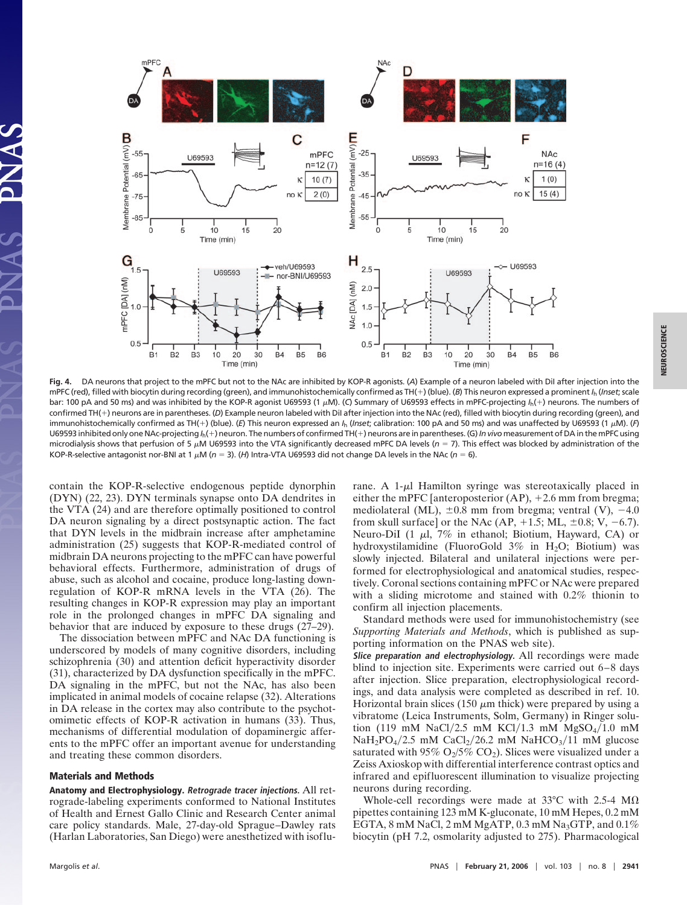

**Fig. 4.** DA neurons that project to the mPFC but not to the NAc are inhibited by KOP-R agonists. (*A*) Example of a neuron labeled with DiI after injection into the mPFC (red), filled with biocytin during recording (green), and immunohistochemically confirmed as TH(+) (blue). (*B*) This neuron expressed a prominent *I*<sub>h</sub> (*Inset*; scale bar: 100 pA and 50 ms) and was inhibited by the KOP-R agonist U69593 (1 μM). (C) Summary of U69593 effects in mPFC-projecting /<sub>h</sub>(+) neurons. The numbers of confirmed TH(+) neurons are in parentheses. (D) Example neuron labeled with DiI after injection into the NAc (red), filled with biocytin during recording (green), and immunohistochemically confirmed as TH(+) (blue). (E) This neuron expressed an *I<sub>h</sub> (Inset; calibration: 100 pA and 50 ms*) and was unaffected by U69593 (1 µM). (F) U69593 inhibited only one NAc-projecting  $I_h(+)$  neuron. The numbers of confirmed TH(+) neurons are in parentheses. (G) In vivo measurement of DA in the mPFC using microdialysis shows that perfusion of 5 μM U69593 into the VTA significantly decreased mPFC DA levels (*n* = 7). This effect was blocked by administration of the KOP-R-selective antagonist nor-BNI at 1  $\mu$ M (*n* = 3). (*H*) Intra-VTA U69593 did not change DA levels in the NAc (*n* = 6).

contain the KOP-R-selective endogenous peptide dynorphin (DYN) (22, 23). DYN terminals synapse onto DA dendrites in the VTA (24) and are therefore optimally positioned to control DA neuron signaling by a direct postsynaptic action. The fact that DYN levels in the midbrain increase after amphetamine administration (25) suggests that KOP-R-mediated control of midbrain DA neurons projecting to the mPFC can have powerful behavioral effects. Furthermore, administration of drugs of abuse, such as alcohol and cocaine, produce long-lasting downregulation of KOP-R mRNA levels in the VTA (26). The resulting changes in KOP-R expression may play an important role in the prolonged changes in mPFC DA signaling and behavior that are induced by exposure to these drugs (27–29).

The dissociation between mPFC and NAc DA functioning is underscored by models of many cognitive disorders, including schizophrenia (30) and attention deficit hyperactivity disorder (31), characterized by DA dysfunction specifically in the mPFC. DA signaling in the mPFC, but not the NAc, has also been implicated in animal models of cocaine relapse (32). Alterations in DA release in the cortex may also contribute to the psychotomimetic effects of KOP-R activation in humans (33). Thus, mechanisms of differential modulation of dopaminergic afferents to the mPFC offer an important avenue for understanding and treating these common disorders.

#### **Materials and Methods**

**Anatomy and Electrophysiology. Retrograde tracer injections.** All retrograde-labeling experiments conformed to National Institutes of Health and Ernest Gallo Clinic and Research Center animal care policy standards. Male, 27-day-old Sprague–Dawley rats (Harlan Laboratories, San Diego) were anesthetized with isoflu-

rane. A  $1-\mu$ l Hamilton syringe was stereotaxically placed in either the mPFC [anteroposterior  $(AP)$ , +2.6 mm from bregma; mediolateral (ML),  $\pm 0.8$  mm from bregma; ventral (V),  $-4.0$ from skull surface] or the NAc  $(AP, +1.5; ML, \pm 0.8; V, -6.7)$ . Neuro-DiI (1  $\mu$ l, 7% in ethanol; Biotium, Hayward, CA) or hydroxystilamidine (FluoroGold  $3\%$  in H<sub>2</sub>O; Biotium) was slowly injected. Bilateral and unilateral injections were performed for electrophysiological and anatomical studies, respectively. Coronal sections containing mPFC or NAc were prepared with a sliding microtome and stained with 0.2% thionin to confirm all injection placements.

Standard methods were used for immunohistochemistry (see *Supporting Materials and Methods*, which is published as supporting information on the PNAS web site).

**Slice preparation and electrophysiology.** All recordings were made blind to injection site. Experiments were carried out 6–8 days after injection. Slice preparation, electrophysiological recordings, and data analysis were completed as described in ref. 10. Horizontal brain slices (150  $\mu$ m thick) were prepared by using a vibratome (Leica Instruments, Solm, Germany) in Ringer solution (119 mM NaCl/2.5 mM KCl/1.3 mM MgSO<sub>4</sub>/1.0 mM  $NaH_2PO_4/2.5$  mM  $CaCl_2/26.2$  mM  $NaHCO_3/11$  mM glucose saturated with 95%  $O_2/5\%$   $CO_2$ ). Slices were visualized under a Zeiss Axioskop with differential interference contrast optics and infrared and epifluorescent illumination to visualize projecting neurons during recording.

Whole-cell recordings were made at 33 $\degree$ C with 2.5-4 M $\Omega$ pipettes containing 123 mM K-gluconate, 10 mM Hepes, 0.2 mM EGTA, 8 mM NaCl, 2 mM MgATP, 0.3 mM Na<sub>3</sub>GTP, and  $0.1\%$ biocytin (pH 7.2, osmolarity adjusted to 275). Pharmacological